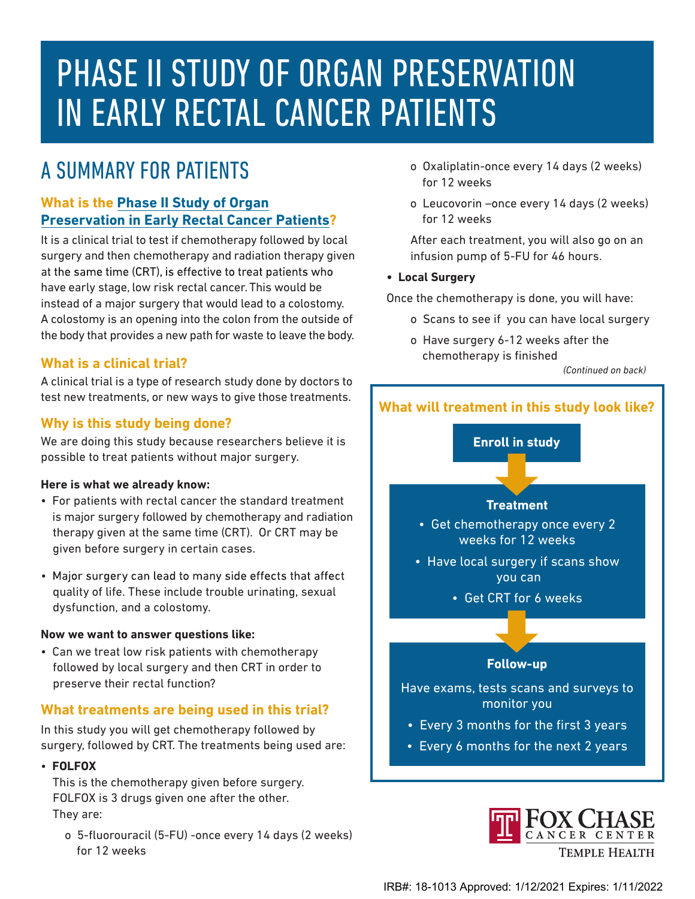# PHASE II STUDY OF ORGAN PRESERVATION IN EARLY RECTAL CANCER PATIENTS

# A SUMMARY FOR PATIENTS

# **What is the Phase II Study of Organ [Preservation in Early Rectal Cancer Patients](https://myportal.fccc.edu/portal/web/guest/clinical-trials?p_auth=hEdIjssy&p_p_id=clinicaltrials_WAR_clinicaltrialsportlet&p_p_lifecycle=1&p_p_state=pop_up&p_p_mode=view&p_p_col_id=column-1&p_p_col_count=1&_clinicaltrials_WAR_clinicaltrialsportlet_javax.portlet.action=showPrint&_clinicaltrials_WAR_clinicaltrialsportlet_print_protocol_id=4097)?**

It is a clinical trial to test if chemotherapy followed by local surgery and then chemotherapy and radiation therapy given at the same time (CRT), is effective to treat patients who have early stage, low risk rectal cancer. This would be instead of a major surgery that would lead to a colostomy. A colostomy is an opening into the colon from the outside of the body that provides a new path for waste to leave the body.

# **What is a clinical trial?**

A clinical trial is a type of research study done by doctors to test new treatments, or new ways to give those treatments.

# **Why is this study being done?**

We are doing this study because researchers believe it is possible to treat patients without major surgery.

#### **Here is what we already know:**

- For patients with rectal cancer the standard treatment is major surgery followed by chemotherapy and radiation therapy given at the same time (CRT). Or CRT may be given before surgery in certain cases.
- Major surgery can lead to many side effects that affect quality of life. These include trouble urinating, sexual dysfunction, and a colostomy.

#### **Now we want to answer questions like:**

• Can we treat low risk patients with chemotherapy followed by local surgery and then CRT in order to preserve their rectal function?

#### **What treatments are being used in this trial?**

In this study you will get chemotherapy followed by surgery, followed by CRT. The treatments being used are:

• **FOLFOX**

This is the chemotherapy given before surgery. FOLFOX is 3 drugs given one after the other. They are:

o 5-fluorouracil (5-FU) -once every 14 days (2 weeks) for 12 weeks

- o Oxaliplatin-once every 14 days (2 weeks) for 12 weeks
- o Leucovorin –once every 14 days (2 weeks) for 12 weeks

 After each treatment, you will also go on an infusion pump of 5-FU for 46 hours.

#### **• Local Surgery**

Once the chemotherapy is done, you will have:

- o Scans to see if you can have local surgery
- o Have surgery 6-12 weeks after the chemotherapy is finished

*(Continued on back)*

# **What will treatment in this study look like?**

**Enroll in study**

#### **Treatment**

• Get chemotherapy once every 2 weeks for 12 weeks

- Have local surgery if scans show you can
	- Get CRT for 6 weeks

#### **Follow-up**

Have exams, tests scans and surveys to monitor you

- Every 3 months for the first 3 years
- Every 6 months for the next 2 years